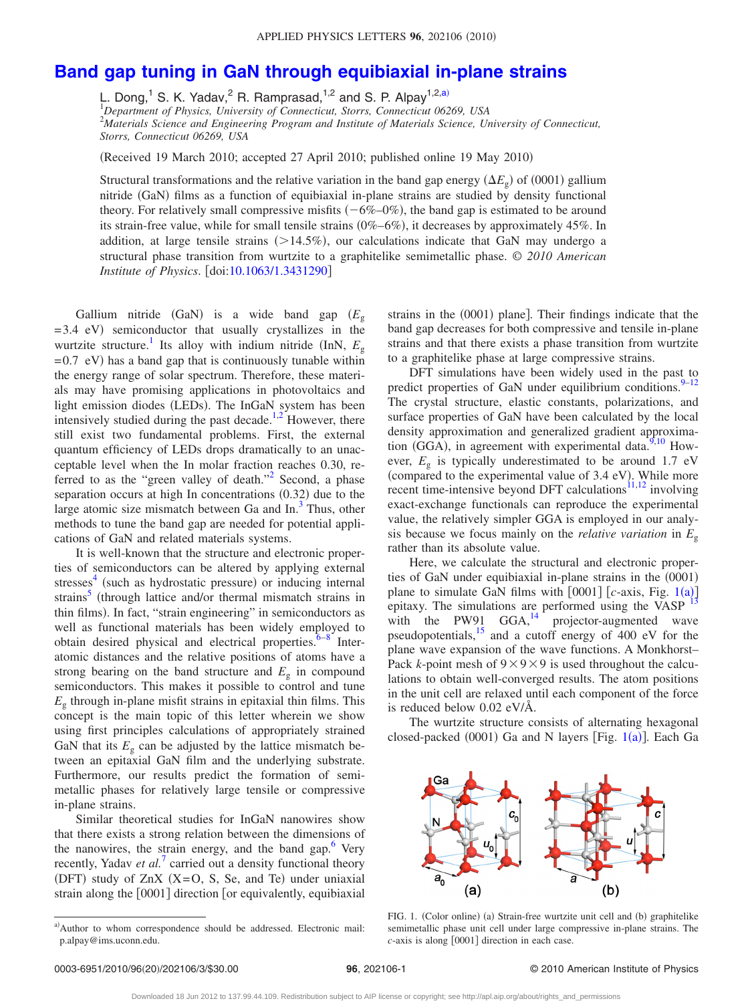## **[Band gap tuning in GaN through equibiaxial in-plane strains](http://dx.doi.org/10.1063/1.3431290)**

L. Dong,<sup>1</sup> S. K. Yadav,<sup>2</sup> R. Ramprasad,<sup>1,2</sup> and S. P. Alpay<sup>1,2[,a](#page-0-0))</sup><br><sup>1</sup>Department of Physics, University of Connecticut, Storrs, Connecticut 06269, USA

2 *Materials Science and Engineering Program and Institute of Materials Science, University of Connecticut, Storrs, Connecticut 06269, USA*

(Received 19 March 2010; accepted 27 April 2010; published online 19 May 2010)

Structural transformations and the relative variation in the band gap energy  $(\Delta E_{g})$  of  $(0001)$  gallium nitride (GaN) films as a function of equibiaxial in-plane strains are studied by density functional theory. For relatively small compressive misfits  $(-6\% - 0\%)$ , the band gap is estimated to be around its strain-free value, while for small tensile strains (0%-6%), it decreases by approximately 45%. In addition, at large tensile strains (>14.5%), our calculations indicate that GaN may undergo a structural phase transition from wurtzite to a graphitelike semimetallic phase. © *2010 American Institute of Physics.* [doi[:10.1063/1.3431290](http://dx.doi.org/10.1063/1.3431290)]

Gallium nitride (GaN) is a wide band gap ( $E<sub>g</sub>$  $= 3.4$  eV) semiconductor that usually crystallizes in the wurtzite structure.<sup>1</sup> Its alloy with indium nitride (InN,  $E_g$ )  $= 0.7$  eV) has a band gap that is continuously tunable within the energy range of solar spectrum. Therefore, these materials may have promising applications in photovoltaics and light emission diodes (LEDs). The InGaN system has been intensively studied during the past decade.<sup>1,[2](#page-2-1)</sup> However, there still exist two fundamental problems. First, the external quantum efficiency of LEDs drops dramatically to an unacceptable level when the In molar fraction reaches 0.30, referred to as the "green valley of death."<sup>2</sup> Second, a phase separation occurs at high In concentrations (0.32) due to the large atomic size mismatch between Ga and  $In.3^3$  $In.3^3$  $In.3^3$  Thus, other methods to tune the band gap are needed for potential applications of GaN and related materials systems.

It is well-known that the structure and electronic properties of semiconductors can be altered by applying external stresses<sup>4</sup> (such as hydrostatic pressure) or inducing internal strains<sup>5</sup> (through lattice and/or thermal mismatch strains in thin films). In fact, "strain engineering" in semiconductors as well as functional materials has been widely employed to obtain desired physical and electrical properties. $6-8$  Interatomic distances and the relative positions of atoms have a strong bearing on the band structure and  $E<sub>g</sub>$  in compound semiconductors. This makes it possible to control and tune  $E<sub>g</sub>$  through in-plane misfit strains in epitaxial thin films. This concept is the main topic of this letter wherein we show using first principles calculations of appropriately strained GaN that its  $E_g$  can be adjusted by the lattice mismatch between an epitaxial GaN film and the underlying substrate. Furthermore, our results predict the formation of semimetallic phases for relatively large tensile or compressive in-plane strains.

Similar theoretical studies for InGaN nanowires show that there exists a strong relation between the dimensions of the nanowires, the strain energy, and the band gap. $6$  Very recently, Yadav *et al.*<sup>[7](#page-2-7)</sup> carried out a density functional theory (DFT) study of  $ZnX$  (X=O, S, Se, and Te) under uniaxial strain along the  $[0001]$  direction  $[$  or equivalently, equibiaxial

strains in the (0001) plane]. Their findings indicate that the band gap decreases for both compressive and tensile in-plane strains and that there exists a phase transition from wurtzite to a graphitelike phase at large compressive strains.

DFT simulations have been widely used in the past to predict properties of GaN under equilibrium conditions. $9-12$ The crystal structure, elastic constants, polarizations, and surface properties of GaN have been calculated by the local density approximation and generalized gradient approxima-tion (GGA), in agreement with experimental data.<sup>9,[10](#page-2-10)</sup> However,  $E<sub>g</sub>$  is typically underestimated to be around 1.7 eV (compared to the experimental value of 3.4 eV). While more recent time-intensive beyond DFT calculations $11,12$  $11,12$  involving exact-exchange functionals can reproduce the experimental value, the relatively simpler GGA is employed in our analysis because we focus mainly on the *relative variation* in  $E<sub>o</sub>$ rather than its absolute value.

Here, we calculate the structural and electronic properties of GaN under equibiaxial in-plane strains in the (0001) plane to simulate GaN films with  $[0001]$  $[0001]$  $[0001]$   $[c$ -axis, Fig. 1(a)] epitaxy. The simulations are performed using the VASP  $^{13}$  $^{13}$  $^{13}$ with the PW91 GGA, $14$  projector-augmented wave pseudopotentials[,15](#page-2-14) and a cutoff energy of 400 eV for the plane wave expansion of the wave functions. A Monkhorst– Pack *k*-point mesh of  $9 \times 9 \times 9$  is used throughout the calculations to obtain well-converged results. The atom positions in the unit cell are relaxed until each component of the force is reduced below 0.02 eV/Å.

<span id="page-0-1"></span>The wurtzite structure consists of alternating hexagonal closed-packed  $(0001)$  $(0001)$  $(0001)$  Ga and N layers [Fig. 1(a)]. Each Ga



FIG. 1. (Color online) (a) Strain-free wurtzite unit cell and (b) graphitelike semimetallic phase unit cell under large compressive in-plane strains. The  $c$ -axis is along  $[0001]$  direction in each case.

<span id="page-0-0"></span>a)Author to whom correspondence should be addressed. Electronic mail: p.alpay@ims.uconn.edu.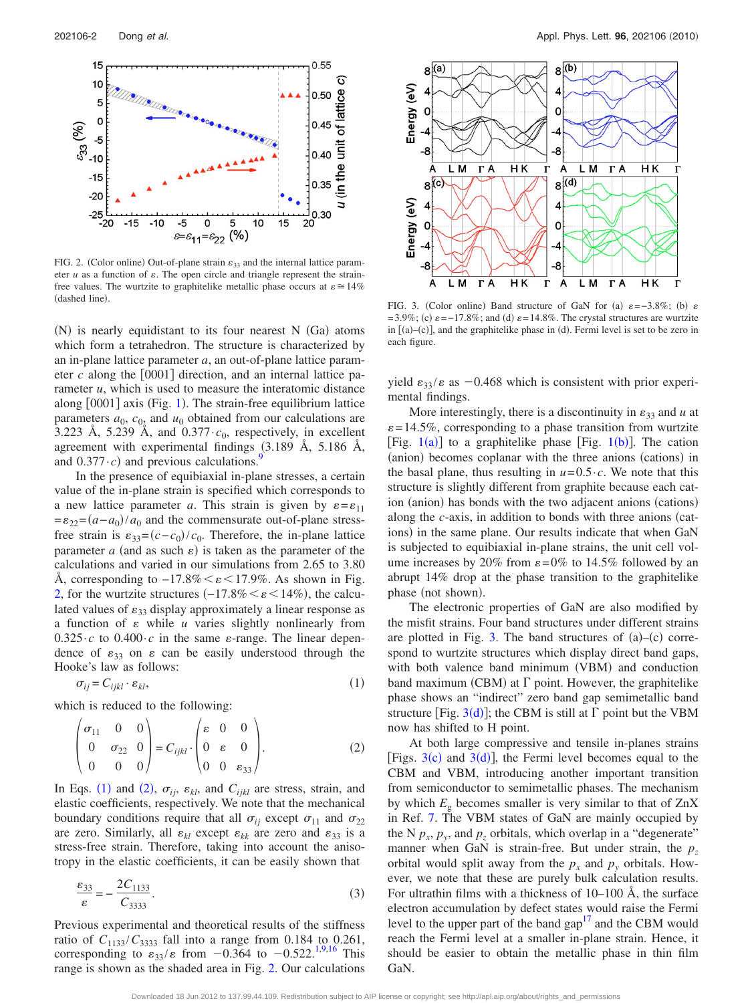<span id="page-1-0"></span>

FIG. 2. (Color online) Out-of-plane strain  $\varepsilon_{33}$  and the internal lattice parameter  $u$  as a function of  $\varepsilon$ . The open circle and triangle represent the strainfree values. The wurtzite to graphitelike metallic phase occurs at  $\varepsilon \approx 14\%$  $(dashed line)$ 

(N) is nearly equidistant to its four nearest N (Ga) atoms which form a tetrahedron. The structure is characterized by an in-plane lattice parameter *a*, an out-of-plane lattice parameter  $c$  along the  $[0001]$  direction, and an internal lattice parameter *u*, which is used to measure the interatomic distance along [000[1](#page-0-1)] axis (Fig. 1). The strain-free equilibrium lattice parameters  $a_0$ ,  $c_{0<sub>2</sub>}$  and  $u_0$  obtained from our calculations are 3.223 Å, 5.239 Å, and  $0.377 \cdot c_0$ , respectively, in excellent agreement with experimental findings  $(3.189 \text{ Å}, 5.186 \text{ Å})$ and  $0.377 \cdot c$ ) and previous calculations.<sup>9</sup>

In the presence of equibiaxial in-plane stresses, a certain value of the in-plane strain is specified which corresponds to a new lattice parameter *a*. This strain is given by  $\varepsilon = \varepsilon_{11}$  $=\varepsilon_{22}=(a-a_0)/a_0$  and the commensurate out-of-plane stressfree strain is  $\varepsilon_{33} = (c - c_0)/c_0$ . Therefore, the in-plane lattice parameter  $a$  (and as such  $\varepsilon$ ) is taken as the parameter of the calculations and varied in our simulations from 2.65 to 3.80 Å, corresponding to  $-17.8\% < \varepsilon < 17.9\%$ . As shown in Fig. [2,](#page-1-0) for the wurtzite structures  $(-17.8\% < \varepsilon < 14\%)$ , the calculated values of  $\varepsilon_{33}$  display approximately a linear response as a function of  $\varepsilon$  while  $u$  varies slightly nonlinearly from  $0.325 \cdot c$  to  $0.400 \cdot c$  in the same  $\varepsilon$ -range. The linear dependence of  $\varepsilon_{33}$  on  $\varepsilon$  can be easily understood through the Hooke's law as follows:

<span id="page-1-2"></span><span id="page-1-1"></span>
$$
\sigma_{ij} = C_{ijkl} \cdot \varepsilon_{kl},\tag{1}
$$

which is reduced to the following:

$$
\begin{pmatrix} \sigma_{11} & 0 & 0 \\ 0 & \sigma_{22} & 0 \\ 0 & 0 & 0 \end{pmatrix} = C_{ijkl} \cdot \begin{pmatrix} \varepsilon & 0 & 0 \\ 0 & \varepsilon & 0 \\ 0 & 0 & \varepsilon_{33} \end{pmatrix} . \tag{2}
$$

In Eqs. ([1](#page-1-1)) and ([2](#page-1-2)),  $\sigma_{ij}$ ,  $\varepsilon_{kl}$ , and  $C_{ijkl}$  are stress, strain, and elastic coefficients, respectively. We note that the mechanical boundary conditions require that all  $\sigma_{ii}$  except  $\sigma_{11}$  and  $\sigma_{22}$ are zero. Similarly, all  $\varepsilon_{kl}$  except  $\varepsilon_{kk}$  are zero and  $\varepsilon_{33}$  is a stress-free strain. Therefore, taking into account the anisotropy in the elastic coefficients, it can be easily shown that

$$
\frac{\varepsilon_{33}}{\varepsilon} = -\frac{2C_{1133}}{C_{3333}}.\tag{3}
$$

Previous experimental and theoretical results of the stiffness ratio of  $C_{1133}/C_{3333}$  fall into a range from 0.184 to 0.261, corresponding to  $\varepsilon_{33}/\varepsilon$  from  $-0.364$  to  $-0.522$ .<sup>1[,9](#page-2-8)[,16](#page-2-15)</sup> This range is shown as the shaded area in Fig. [2.](#page-1-0) Our calculations

<span id="page-1-3"></span>

FIG. 3. (Color online) Band structure of GaN for (a)  $\varepsilon = -3.8\%$ ; (b)  $\varepsilon$  $= 3.9\%$ ; (c)  $\varepsilon = -17.8\%$ ; and (d)  $\varepsilon = 14.8\%$ . The crystal structures are wurtzite in  $[(a)-(c)]$ , and the graphitelike phase in  $(d)$ . Fermi level is set to be zero in each figure.

yield  $\varepsilon_{33}/\varepsilon$  as  $-0.468$  which is consistent with prior experimental findings.

More interestingly, there is a discontinuity in  $\varepsilon_{33}$  and *u* at  $\varepsilon$  = 14.5%, corresponding to a phase transition from wurtzite [Fig.  $1(a)$  $1(a)$ ] to a graphitelike phase [Fig.  $1(b)$ ]. The cation (anion) becomes coplanar with the three anions (cations) in the basal plane, thus resulting in  $u=0.5 \cdot c$ . We note that this structure is slightly different from graphite because each cation (anion) has bonds with the two adjacent anions (cations) along the *c*-axis, in addition to bonds with three anions (cations) in the same plane. Our results indicate that when GaN is subjected to equibiaxial in-plane strains, the unit cell volume increases by 20% from  $\varepsilon = 0\%$  to 14.5% followed by an abrupt 14% drop at the phase transition to the graphitelike phase (not shown).

The electronic properties of GaN are also modified by the misfit strains. Four band structures under different strains are plotted in Fig. [3.](#page-1-3) The band structures of  $(a)$ - $(c)$  correspond to wurtzite structures which display direct band gaps, with both valence band minimum (VBM) and conduction band maximum (CBM) at  $\Gamma$  point. However, the graphitelike phase shows an "indirect" zero band gap semimetallic band structure [Fig.  $3(d)$  $3(d)$ ]; the CBM is still at  $\Gamma$  point but the VBM now has shifted to H point.

At both large compressive and tensile in-planes strains [Figs.  $3(c)$  $3(c)$  and  $3(d)$ ], the Fermi level becomes equal to the CBM and VBM, introducing another important transition from semiconductor to semimetallic phases. The mechanism by which  $E_g$  becomes smaller is very similar to that of  $ZnX$ in Ref. [7.](#page-2-7) The VBM states of GaN are mainly occupied by the N  $p_x$ ,  $p_y$ , and  $p_z$  orbitals, which overlap in a "degenerate" manner when GaN is strain-free. But under strain, the  $p_z$ orbital would split away from the  $p_x$  and  $p_y$  orbitals. However, we note that these are purely bulk calculation results. For ultrathin films with a thickness of 10–100 Å, the surface electron accumulation by defect states would raise the Fermi level to the upper part of the band gap $17$  and the CBM would reach the Fermi level at a smaller in-plane strain. Hence, it should be easier to obtain the metallic phase in thin film GaN.